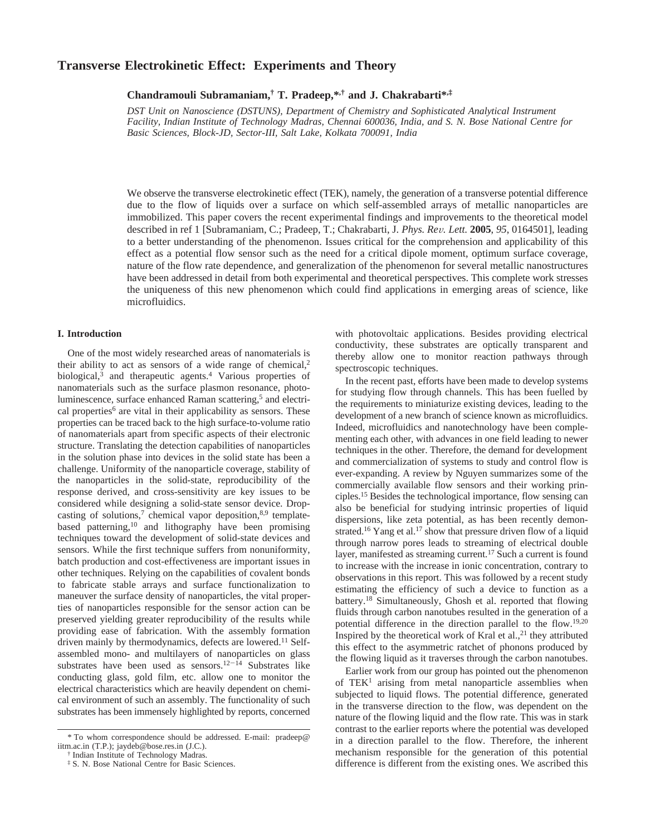# **Transverse Electrokinetic Effect: Experiments and Theory**

## **Chandramouli Subramaniam,† T. Pradeep,\*,† and J. Chakrabarti\*,‡**

*DST Unit on Nanoscience (DSTUNS), Department of Chemistry and Sophisticated Analytical Instrument Facility, Indian Institute of Technology Madras, Chennai 600036, India, and S. N. Bose National Centre for Basic Sciences, Block-JD, Sector-III, Salt Lake, Kolkata 700091, India*

We observe the transverse electrokinetic effect (TEK), namely, the generation of a transverse potential difference due to the flow of liquids over a surface on which self-assembled arrays of metallic nanoparticles are immobilized. This paper covers the recent experimental findings and improvements to the theoretical model described in ref 1 [Subramaniam, C.; Pradeep, T.; Chakrabarti, J. *Phys. Re*V*. Lett.* **<sup>2005</sup>**, *<sup>95</sup>*, 0164501], leading to a better understanding of the phenomenon. Issues critical for the comprehension and applicability of this effect as a potential flow sensor such as the need for a critical dipole moment, optimum surface coverage, nature of the flow rate dependence, and generalization of the phenomenon for several metallic nanostructures have been addressed in detail from both experimental and theoretical perspectives. This complete work stresses the uniqueness of this new phenomenon which could find applications in emerging areas of science, like microfluidics.

#### **I. Introduction**

One of the most widely researched areas of nanomaterials is their ability to act as sensors of a wide range of chemical,<sup>2</sup> biological, $3$  and therapeutic agents.<sup>4</sup> Various properties of nanomaterials such as the surface plasmon resonance, photoluminescence, surface enhanced Raman scattering,5 and electrical properties<sup>6</sup> are vital in their applicability as sensors. These properties can be traced back to the high surface-to-volume ratio of nanomaterials apart from specific aspects of their electronic structure. Translating the detection capabilities of nanoparticles in the solution phase into devices in the solid state has been a challenge. Uniformity of the nanoparticle coverage, stability of the nanoparticles in the solid-state, reproducibility of the response derived, and cross-sensitivity are key issues to be considered while designing a solid-state sensor device. Dropcasting of solutions,<sup>7</sup> chemical vapor deposition,<sup>8,9</sup> templatebased patterning,10 and lithography have been promising techniques toward the development of solid-state devices and sensors. While the first technique suffers from nonuniformity, batch production and cost-effectiveness are important issues in other techniques. Relying on the capabilities of covalent bonds to fabricate stable arrays and surface functionalization to maneuver the surface density of nanoparticles, the vital properties of nanoparticles responsible for the sensor action can be preserved yielding greater reproducibility of the results while providing ease of fabrication. With the assembly formation driven mainly by thermodynamics, defects are lowered.<sup>11</sup> Selfassembled mono- and multilayers of nanoparticles on glass substrates have been used as sensors.<sup>12-14</sup> Substrates like conducting glass, gold film, etc. allow one to monitor the electrical characteristics which are heavily dependent on chemical environment of such an assembly. The functionality of such substrates has been immensely highlighted by reports, concerned

with photovoltaic applications. Besides providing electrical conductivity, these substrates are optically transparent and thereby allow one to monitor reaction pathways through spectroscopic techniques.

In the recent past, efforts have been made to develop systems for studying flow through channels. This has been fuelled by the requirements to miniaturize existing devices, leading to the development of a new branch of science known as microfluidics. Indeed, microfluidics and nanotechnology have been complementing each other, with advances in one field leading to newer techniques in the other. Therefore, the demand for development and commercialization of systems to study and control flow is ever-expanding. A review by Nguyen summarizes some of the commercially available flow sensors and their working principles.15 Besides the technological importance, flow sensing can also be beneficial for studying intrinsic properties of liquid dispersions, like zeta potential, as has been recently demonstrated.<sup>16</sup> Yang et al.<sup>17</sup> show that pressure driven flow of a liquid through narrow pores leads to streaming of electrical double layer, manifested as streaming current.<sup>17</sup> Such a current is found to increase with the increase in ionic concentration, contrary to observations in this report. This was followed by a recent study estimating the efficiency of such a device to function as a battery.18 Simultaneously, Ghosh et al. reported that flowing fluids through carbon nanotubes resulted in the generation of a potential difference in the direction parallel to the flow.19,20 Inspired by the theoretical work of Kral et al., $^{21}$  they attributed this effect to the asymmetric ratchet of phonons produced by the flowing liquid as it traverses through the carbon nanotubes.

Earlier work from our group has pointed out the phenomenon of  $TEK<sup>1</sup>$  arising from metal nanoparticle assemblies when subjected to liquid flows. The potential difference, generated in the transverse direction to the flow, was dependent on the nature of the flowing liquid and the flow rate. This was in stark contrast to the earlier reports where the potential was developed in a direction parallel to the flow. Therefore, the inherent mechanism responsible for the generation of this potential difference is different from the existing ones. We ascribed this

<sup>\*</sup> To whom correspondence should be addressed. E-mail: pradeep@ iitm.ac.in (T.P.); jaydeb@bose.res.in (J.C.).

<sup>†</sup> Indian Institute of Technology Madras.

<sup>‡</sup> S. N. Bose National Centre for Basic Sciences.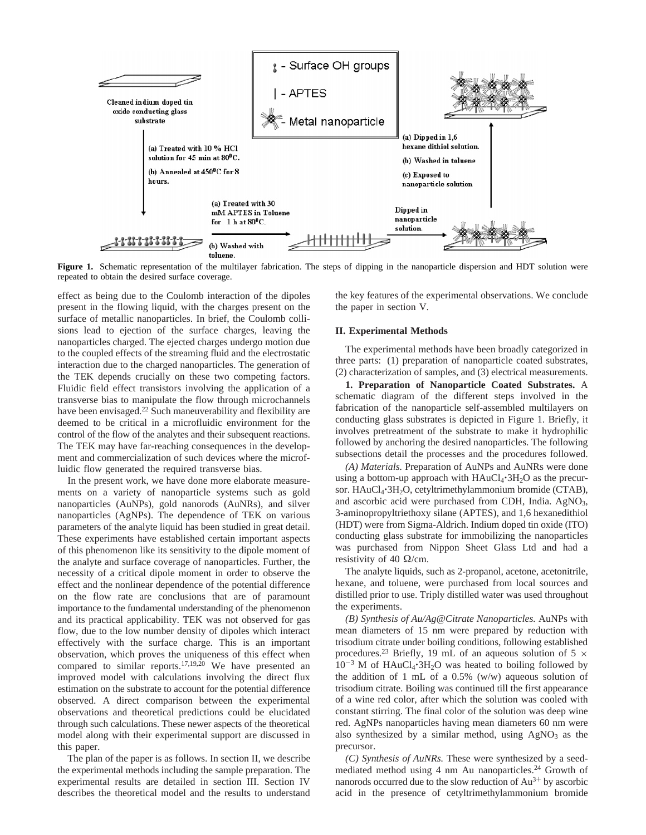

Figure 1. Schematic representation of the multilayer fabrication. The steps of dipping in the nanoparticle dispersion and HDT solution were repeated to obtain the desired surface coverage.

effect as being due to the Coulomb interaction of the dipoles present in the flowing liquid, with the charges present on the surface of metallic nanoparticles. In brief, the Coulomb collisions lead to ejection of the surface charges, leaving the nanoparticles charged. The ejected charges undergo motion due to the coupled effects of the streaming fluid and the electrostatic interaction due to the charged nanoparticles. The generation of the TEK depends crucially on these two competing factors. Fluidic field effect transistors involving the application of a transverse bias to manipulate the flow through microchannels have been envisaged.<sup>22</sup> Such maneuverability and flexibility are deemed to be critical in a microfluidic environment for the control of the flow of the analytes and their subsequent reactions. The TEK may have far-reaching consequences in the development and commercialization of such devices where the microfluidic flow generated the required transverse bias.

In the present work, we have done more elaborate measurements on a variety of nanoparticle systems such as gold nanoparticles (AuNPs), gold nanorods (AuNRs), and silver nanoparticles (AgNPs). The dependence of TEK on various parameters of the analyte liquid has been studied in great detail. These experiments have established certain important aspects of this phenomenon like its sensitivity to the dipole moment of the analyte and surface coverage of nanoparticles. Further, the necessity of a critical dipole moment in order to observe the effect and the nonlinear dependence of the potential difference on the flow rate are conclusions that are of paramount importance to the fundamental understanding of the phenomenon and its practical applicability. TEK was not observed for gas flow, due to the low number density of dipoles which interact effectively with the surface charge. This is an important observation, which proves the uniqueness of this effect when compared to similar reports.<sup>17,19,20</sup> We have presented an improved model with calculations involving the direct flux estimation on the substrate to account for the potential difference observed. A direct comparison between the experimental observations and theoretical predictions could be elucidated through such calculations. These newer aspects of the theoretical model along with their experimental support are discussed in this paper.

The plan of the paper is as follows. In section II, we describe the experimental methods including the sample preparation. The experimental results are detailed in section III. Section IV describes the theoretical model and the results to understand

the key features of the experimental observations. We conclude the paper in section V.

## **II. Experimental Methods**

The experimental methods have been broadly categorized in three parts: (1) preparation of nanoparticle coated substrates, (2) characterization of samples, and (3) electrical measurements.

**1. Preparation of Nanoparticle Coated Substrates.** A schematic diagram of the different steps involved in the fabrication of the nanoparticle self-assembled multilayers on conducting glass substrates is depicted in Figure 1. Briefly, it involves pretreatment of the substrate to make it hydrophilic followed by anchoring the desired nanoparticles. The following subsections detail the processes and the procedures followed.

*(A) Materials.* Preparation of AuNPs and AuNRs were done using a bottom-up approach with  $HAuCl_4$ <sup>3H<sub>2</sub>O as the precur-</sup> sor. HAuCl<sub>4</sub><sup>•</sup>3H<sub>2</sub>O, cetyltrimethylammonium bromide (CTAB), and ascorbic acid were purchased from CDH, India.  $AgNO<sub>3</sub>$ , 3-aminopropyltriethoxy silane (APTES), and 1,6 hexanedithiol (HDT) were from Sigma-Aldrich. Indium doped tin oxide (ITO) conducting glass substrate for immobilizing the nanoparticles was purchased from Nippon Sheet Glass Ltd and had a resistivity of 40  $\Omega$ /cm.

The analyte liquids, such as 2-propanol, acetone, acetonitrile, hexane, and toluene, were purchased from local sources and distilled prior to use. Triply distilled water was used throughout the experiments.

*(B) Synthesis of Au/Ag@Citrate Nanoparticles.* AuNPs with mean diameters of 15 nm were prepared by reduction with trisodium citrate under boiling conditions, following established procedures.<sup>23</sup> Briefly, 19 mL of an aqueous solution of 5  $\times$  $10^{-3}$  M of HAuCl<sub>4</sub> $\cdot$ 3H<sub>2</sub>O was heated to boiling followed by the addition of 1 mL of a  $0.5\%$  (w/w) aqueous solution of trisodium citrate. Boiling was continued till the first appearance of a wine red color, after which the solution was cooled with constant stirring. The final color of the solution was deep wine red. AgNPs nanoparticles having mean diameters 60 nm were also synthesized by a similar method, using  $AgNO<sub>3</sub>$  as the precursor.

*(C) Synthesis of AuNRs.* These were synthesized by a seedmediated method using 4 nm Au nanoparticles.<sup>24</sup> Growth of nanorods occurred due to the slow reduction of  $Au^{3+}$  by ascorbic acid in the presence of cetyltrimethylammonium bromide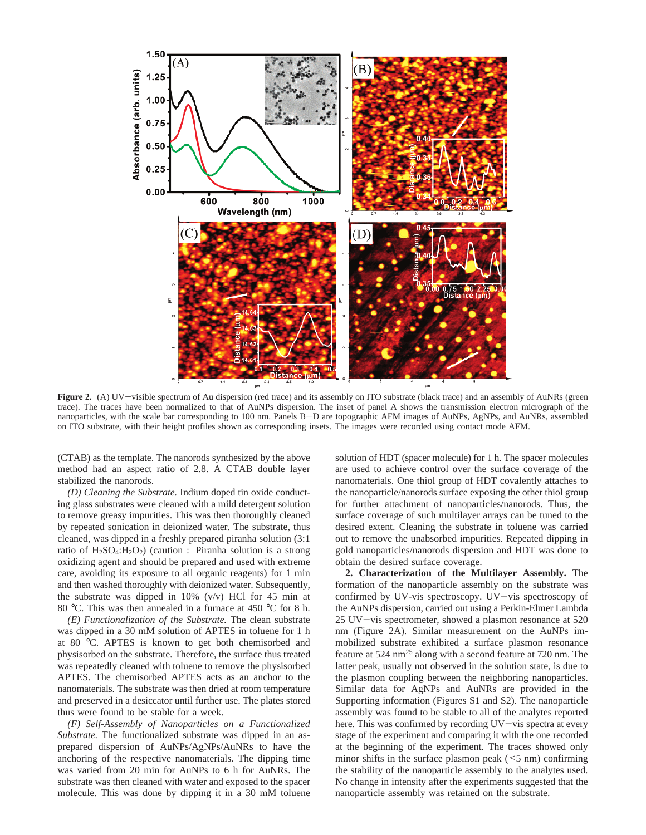

Figure 2. (A) UV-visible spectrum of Au dispersion (red trace) and its assembly on ITO substrate (black trace) and an assembly of AuNRs (green trace). The traces have been normalized to that of AuNPs dispersion. The inset of panel A shows the transmission electron micrograph of the nanoparticles, with the scale bar corresponding to 100 nm. Panels B-D are topographic AFM images of AuNPs, AgNPs, and AuNRs, assembled on ITO substrate, with their height profiles shown as corresponding insets. The images were recorded using contact mode AFM.

(CTAB) as the template. The nanorods synthesized by the above method had an aspect ratio of 2.8. A CTAB double layer stabilized the nanorods.

*(D) Cleaning the Substrate.* Indium doped tin oxide conducting glass substrates were cleaned with a mild detergent solution to remove greasy impurities. This was then thoroughly cleaned by repeated sonication in deionized water. The substrate, thus cleaned, was dipped in a freshly prepared piranha solution (3:1 ratio of  $H_2SO_4$ :  $H_2O_2$ ) (caution : Piranha solution is a strong oxidizing agent and should be prepared and used with extreme care, avoiding its exposure to all organic reagents) for 1 min and then washed thoroughly with deionized water. Subsequently, the substrate was dipped in 10% (v/v) HCl for 45 min at 80 °C. This was then annealed in a furnace at 450 °C for 8 h.

*(E) Functionalization of the Substrate.* The clean substrate was dipped in a 30 mM solution of APTES in toluene for 1 h at 80 °C. APTES is known to get both chemisorbed and physisorbed on the substrate. Therefore, the surface thus treated was repeatedly cleaned with toluene to remove the physisorbed APTES. The chemisorbed APTES acts as an anchor to the nanomaterials. The substrate was then dried at room temperature and preserved in a desiccator until further use. The plates stored thus were found to be stable for a week.

*(F) Self-Assembly of Nanoparticles on a Functionalized Substrate.* The functionalized substrate was dipped in an asprepared dispersion of AuNPs/AgNPs/AuNRs to have the anchoring of the respective nanomaterials. The dipping time was varied from 20 min for AuNPs to 6 h for AuNRs. The substrate was then cleaned with water and exposed to the spacer molecule. This was done by dipping it in a 30 mM toluene

solution of HDT (spacer molecule) for 1 h. The spacer molecules are used to achieve control over the surface coverage of the nanomaterials. One thiol group of HDT covalently attaches to the nanoparticle/nanorods surface exposing the other thiol group for further attachment of nanoparticles/nanorods. Thus, the surface coverage of such multilayer arrays can be tuned to the desired extent. Cleaning the substrate in toluene was carried out to remove the unabsorbed impurities. Repeated dipping in gold nanoparticles/nanorods dispersion and HDT was done to obtain the desired surface coverage.

**2. Characterization of the Multilayer Assembly.** The formation of the nanoparticle assembly on the substrate was confirmed by UV-vis spectroscopy. UV-vis spectroscopy of the AuNPs dispersion, carried out using a Perkin-Elmer Lambda 25 UV-vis spectrometer, showed a plasmon resonance at 520 nm (Figure 2A). Similar measurement on the AuNPs immobilized substrate exhibited a surface plasmon resonance feature at 524 nm<sup>25</sup> along with a second feature at 720 nm. The latter peak, usually not observed in the solution state, is due to the plasmon coupling between the neighboring nanoparticles. Similar data for AgNPs and AuNRs are provided in the Supporting information (Figures S1 and S2). The nanoparticle assembly was found to be stable to all of the analytes reported here. This was confirmed by recording UV-vis spectra at every stage of the experiment and comparing it with the one recorded at the beginning of the experiment. The traces showed only minor shifts in the surface plasmon peak  $(5 \text{ nm})$  confirming the stability of the nanoparticle assembly to the analytes used. No change in intensity after the experiments suggested that the nanoparticle assembly was retained on the substrate.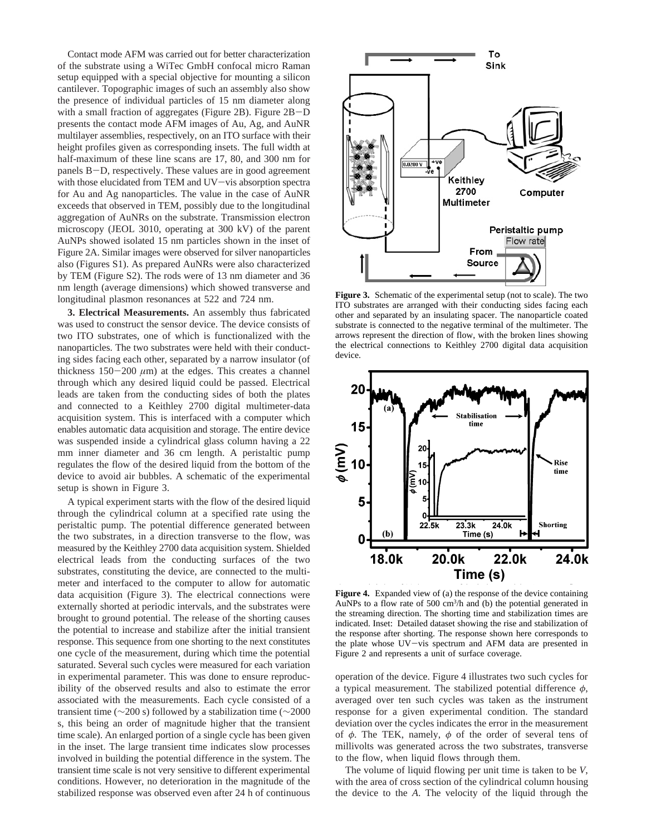Contact mode AFM was carried out for better characterization of the substrate using a WiTec GmbH confocal micro Raman setup equipped with a special objective for mounting a silicon cantilever. Topographic images of such an assembly also show the presence of individual particles of 15 nm diameter along with a small fraction of aggregates (Figure 2B). Figure 2B-D presents the contact mode AFM images of Au, Ag, and AuNR multilayer assemblies, respectively, on an ITO surface with their height profiles given as corresponding insets. The full width at half-maximum of these line scans are 17, 80, and 300 nm for panels B-D, respectively. These values are in good agreement with those elucidated from TEM and UV-vis absorption spectra for Au and Ag nanoparticles. The value in the case of AuNR exceeds that observed in TEM, possibly due to the longitudinal aggregation of AuNRs on the substrate. Transmission electron microscopy (JEOL 3010, operating at 300 kV) of the parent AuNPs showed isolated 15 nm particles shown in the inset of Figure 2A. Similar images were observed for silver nanoparticles also (Figures S1). As prepared AuNRs were also characterized by TEM (Figure S2). The rods were of 13 nm diameter and 36 nm length (average dimensions) which showed transverse and longitudinal plasmon resonances at 522 and 724 nm.

**3. Electrical Measurements.** An assembly thus fabricated was used to construct the sensor device. The device consists of two ITO substrates, one of which is functionalized with the nanoparticles. The two substrates were held with their conducting sides facing each other, separated by a narrow insulator (of thickness  $150-200 \ \mu m$ ) at the edges. This creates a channel through which any desired liquid could be passed. Electrical leads are taken from the conducting sides of both the plates and connected to a Keithley 2700 digital multimeter-data acquisition system. This is interfaced with a computer which enables automatic data acquisition and storage. The entire device was suspended inside a cylindrical glass column having a 22 mm inner diameter and 36 cm length. A peristaltic pump regulates the flow of the desired liquid from the bottom of the device to avoid air bubbles. A schematic of the experimental setup is shown in Figure 3.

A typical experiment starts with the flow of the desired liquid through the cylindrical column at a specified rate using the peristaltic pump. The potential difference generated between the two substrates, in a direction transverse to the flow, was measured by the Keithley 2700 data acquisition system. Shielded electrical leads from the conducting surfaces of the two substrates, constituting the device, are connected to the multimeter and interfaced to the computer to allow for automatic data acquisition (Figure 3). The electrical connections were externally shorted at periodic intervals, and the substrates were brought to ground potential. The release of the shorting causes the potential to increase and stabilize after the initial transient response. This sequence from one shorting to the next constitutes one cycle of the measurement, during which time the potential saturated. Several such cycles were measured for each variation in experimental parameter. This was done to ensure reproducibility of the observed results and also to estimate the error associated with the measurements. Each cycle consisted of a transient time (∼200 s) followed by a stabilization time (∼2000 s, this being an order of magnitude higher that the transient time scale). An enlarged portion of a single cycle has been given in the inset. The large transient time indicates slow processes involved in building the potential difference in the system. The transient time scale is not very sensitive to different experimental conditions. However, no deterioration in the magnitude of the stabilized response was observed even after 24 h of continuous



**Figure 3.** Schematic of the experimental setup (not to scale). The two ITO substrates are arranged with their conducting sides facing each other and separated by an insulating spacer. The nanoparticle coated substrate is connected to the negative terminal of the multimeter. The arrows represent the direction of flow, with the broken lines showing the electrical connections to Keithley 2700 digital data acquisition device.



**Figure 4.** Expanded view of (a) the response of the device containing AuNPs to a flow rate of  $500 \text{ cm}^3$ /h and (b) the potential generated in the streaming direction. The shorting time and stabilization times are indicated. Inset: Detailed dataset showing the rise and stabilization of the response after shorting. The response shown here corresponds to the plate whose UV-vis spectrum and AFM data are presented in Figure 2 and represents a unit of surface coverage.

operation of the device. Figure 4 illustrates two such cycles for a typical measurement. The stabilized potential difference *φ*, averaged over ten such cycles was taken as the instrument response for a given experimental condition. The standard deviation over the cycles indicates the error in the measurement of *φ*. The TEK, namely, *φ* of the order of several tens of millivolts was generated across the two substrates, transverse to the flow, when liquid flows through them.

The volume of liquid flowing per unit time is taken to be *V*, with the area of cross section of the cylindrical column housing the device to the *A*. The velocity of the liquid through the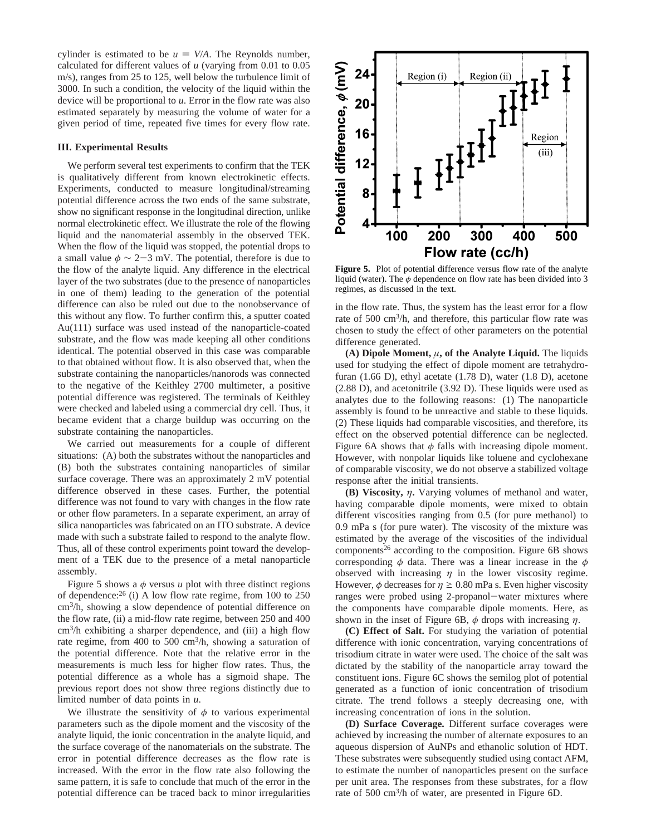cylinder is estimated to be  $u = V/A$ . The Reynolds number, calculated for different values of *u* (varying from 0.01 to 0.05 m/s), ranges from 25 to 125, well below the turbulence limit of 3000. In such a condition, the velocity of the liquid within the device will be proportional to *u*. Error in the flow rate was also estimated separately by measuring the volume of water for a given period of time, repeated five times for every flow rate.

## **III. Experimental Results**

We perform several test experiments to confirm that the TEK is qualitatively different from known electrokinetic effects. Experiments, conducted to measure longitudinal/streaming potential difference across the two ends of the same substrate, show no significant response in the longitudinal direction, unlike normal electrokinetic effect. We illustrate the role of the flowing liquid and the nanomaterial assembly in the observed TEK. When the flow of the liquid was stopped, the potential drops to a small value  $\phi \sim 2-3$  mV. The potential, therefore is due to the flow of the analyte liquid. Any difference in the electrical layer of the two substrates (due to the presence of nanoparticles in one of them) leading to the generation of the potential difference can also be ruled out due to the nonobservance of this without any flow. To further confirm this, a sputter coated Au(111) surface was used instead of the nanoparticle-coated substrate, and the flow was made keeping all other conditions identical. The potential observed in this case was comparable to that obtained without flow. It is also observed that, when the substrate containing the nanoparticles/nanorods was connected to the negative of the Keithley 2700 multimeter, a positive potential difference was registered. The terminals of Keithley were checked and labeled using a commercial dry cell. Thus, it became evident that a charge buildup was occurring on the substrate containing the nanoparticles.

We carried out measurements for a couple of different situations: (A) both the substrates without the nanoparticles and (B) both the substrates containing nanoparticles of similar surface coverage. There was an approximately 2 mV potential difference observed in these cases. Further, the potential difference was not found to vary with changes in the flow rate or other flow parameters. In a separate experiment, an array of silica nanoparticles was fabricated on an ITO substrate. A device made with such a substrate failed to respond to the analyte flow. Thus, all of these control experiments point toward the development of a TEK due to the presence of a metal nanoparticle assembly.

Figure 5 shows a  $\phi$  versus *u* plot with three distinct regions of dependence:<sup>26</sup> (i) A low flow rate regime, from 100 to 250 cm3/h, showing a slow dependence of potential difference on the flow rate, (ii) a mid-flow rate regime, between 250 and 400  $cm<sup>3</sup>/h$  exhibiting a sharper dependence, and (iii) a high flow rate regime, from 400 to 500 cm3/h, showing a saturation of the potential difference. Note that the relative error in the measurements is much less for higher flow rates. Thus, the potential difference as a whole has a sigmoid shape. The previous report does not show three regions distinctly due to limited number of data points in *u*.

We illustrate the sensitivity of  $\phi$  to various experimental parameters such as the dipole moment and the viscosity of the analyte liquid, the ionic concentration in the analyte liquid, and the surface coverage of the nanomaterials on the substrate. The error in potential difference decreases as the flow rate is increased. With the error in the flow rate also following the same pattern, it is safe to conclude that much of the error in the potential difference can be traced back to minor irregularities



Figure 5. Plot of potential difference versus flow rate of the analyte liquid (water). The *φ* dependence on flow rate has been divided into 3 regimes, as discussed in the text.

in the flow rate. Thus, the system has the least error for a flow rate of 500 cm<sup>3</sup>/h, and therefore, this particular flow rate was chosen to study the effect of other parameters on the potential difference generated.

**(A) Dipole Moment,** *µ***, of the Analyte Liquid.** The liquids used for studying the effect of dipole moment are tetrahydrofuran (1.66 D), ethyl acetate (1.78 D), water (1.8 D), acetone (2.88 D), and acetonitrile (3.92 D). These liquids were used as analytes due to the following reasons: (1) The nanoparticle assembly is found to be unreactive and stable to these liquids. (2) These liquids had comparable viscosities, and therefore, its effect on the observed potential difference can be neglected. Figure 6A shows that  $\phi$  falls with increasing dipole moment. However, with nonpolar liquids like toluene and cyclohexane of comparable viscosity, we do not observe a stabilized voltage response after the initial transients.

**(B) Viscosity,** *η***.** Varying volumes of methanol and water, having comparable dipole moments, were mixed to obtain different viscosities ranging from 0.5 (for pure methanol) to 0.9 mPa s (for pure water). The viscosity of the mixture was estimated by the average of the viscosities of the individual components<sup>26</sup> according to the composition. Figure 6B shows corresponding *φ* data. There was a linear increase in the *φ* observed with increasing  $\eta$  in the lower viscosity regime. However,  $\phi$  decreases for  $\eta \ge 0.80$  mPa s. Even higher viscosity ranges were probed using 2-propanol-water mixtures where the components have comparable dipole moments. Here, as shown in the inset of Figure 6B, *φ* drops with increasing *η*.

**(C) Effect of Salt.** For studying the variation of potential difference with ionic concentration, varying concentrations of trisodium citrate in water were used. The choice of the salt was dictated by the stability of the nanoparticle array toward the constituent ions. Figure 6C shows the semilog plot of potential generated as a function of ionic concentration of trisodium citrate. The trend follows a steeply decreasing one, with increasing concentration of ions in the solution.

**(D) Surface Coverage.** Different surface coverages were achieved by increasing the number of alternate exposures to an aqueous dispersion of AuNPs and ethanolic solution of HDT. These substrates were subsequently studied using contact AFM, to estimate the number of nanoparticles present on the surface per unit area. The responses from these substrates, for a flow rate of 500 cm<sup>3</sup>/h of water, are presented in Figure 6D.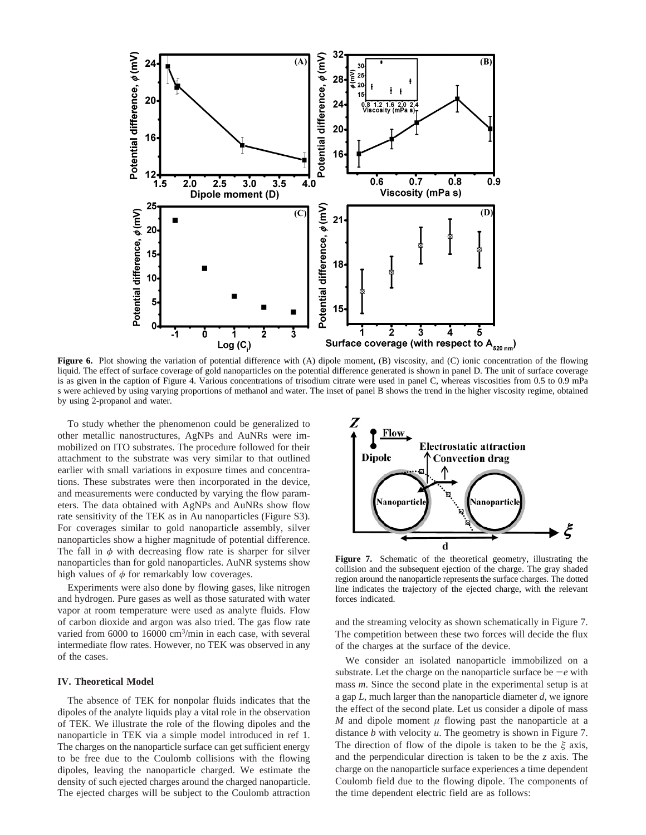

Figure 6. Plot showing the variation of potential difference with (A) dipole moment, (B) viscosity, and (C) ionic concentration of the flowing liquid. The effect of surface coverage of gold nanoparticles on the potential difference generated is shown in panel D. The unit of surface coverage is as given in the caption of Figure 4. Various concentrations of trisodium citrate were used in panel C, whereas viscosities from 0.5 to 0.9 mPa s were achieved by using varying proportions of methanol and water. The inset of panel B shows the trend in the higher viscosity regime, obtained by using 2-propanol and water.

To study whether the phenomenon could be generalized to other metallic nanostructures, AgNPs and AuNRs were immobilized on ITO substrates. The procedure followed for their attachment to the substrate was very similar to that outlined earlier with small variations in exposure times and concentrations. These substrates were then incorporated in the device, and measurements were conducted by varying the flow parameters. The data obtained with AgNPs and AuNRs show flow rate sensitivity of the TEK as in Au nanoparticles (Figure S3). For coverages similar to gold nanoparticle assembly, silver nanoparticles show a higher magnitude of potential difference. The fall in  $\phi$  with decreasing flow rate is sharper for silver nanoparticles than for gold nanoparticles. AuNR systems show high values of *φ* for remarkably low coverages.

Experiments were also done by flowing gases, like nitrogen and hydrogen. Pure gases as well as those saturated with water vapor at room temperature were used as analyte fluids. Flow of carbon dioxide and argon was also tried. The gas flow rate varied from 6000 to 16000 cm<sup>3</sup>/min in each case, with several intermediate flow rates. However, no TEK was observed in any of the cases.

#### **IV. Theoretical Model**

The absence of TEK for nonpolar fluids indicates that the dipoles of the analyte liquids play a vital role in the observation of TEK. We illustrate the role of the flowing dipoles and the nanoparticle in TEK via a simple model introduced in ref 1. The charges on the nanoparticle surface can get sufficient energy to be free due to the Coulomb collisions with the flowing dipoles, leaving the nanoparticle charged. We estimate the density of such ejected charges around the charged nanoparticle. The ejected charges will be subject to the Coulomb attraction



**Figure 7.** Schematic of the theoretical geometry, illustrating the collision and the subsequent ejection of the charge. The gray shaded region around the nanoparticle represents the surface charges. The dotted line indicates the trajectory of the ejected charge, with the relevant forces indicated.

and the streaming velocity as shown schematically in Figure 7. The competition between these two forces will decide the flux of the charges at the surface of the device.

We consider an isolated nanoparticle immobilized on a substrate. Let the charge on the nanoparticle surface be  $-e$  with mass *m*. Since the second plate in the experimental setup is at a gap *L*, much larger than the nanoparticle diameter *d*, we ignore the effect of the second plate. Let us consider a dipole of mass *M* and dipole moment  $\mu$  flowing past the nanoparticle at a distance *b* with velocity *u*. The geometry is shown in Figure 7. The direction of flow of the dipole is taken to be the *ê* axis, and the perpendicular direction is taken to be the *z* axis. The charge on the nanoparticle surface experiences a time dependent Coulomb field due to the flowing dipole. The components of the time dependent electric field are as follows: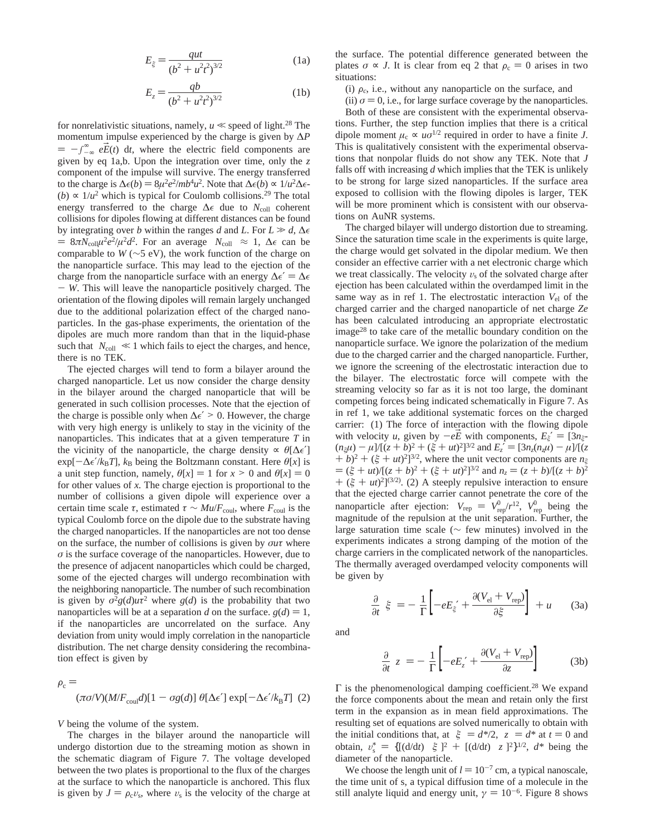$$
E_{\xi} = \frac{qut}{(b^2 + u^2 t^2)^{3/2}}
$$
 (1a)

$$
E_z = \frac{qb}{(b^2 + u^2 t^2)^{3/2}}
$$
 (1b)

for nonrelativistic situations, namely,  $u \ll$  speed of light.<sup>28</sup> The momentum impulse experienced by the charge is given by ∆*P*  $= -f_{-\infty}$  *eE*(*t*) at, where the electric field components are given by eq 1a,b. Upon the integration over time, only the *z*  $= -\int_{-\infty}^{\infty} eE(t) dt$ , where the electric field components are component of the impulse will survive. The energy transferred to the charge is  $\Delta \epsilon(b) = 8\mu^2 e^2/m b^4 u^2$ . Note that  $\Delta \epsilon(b) \approx 1/u^2 \Delta \epsilon$ -(*b*)  $\propto$  1/*u*<sup>2</sup> which is typical for Coulomb collisions.<sup>29</sup> The total energy transferred to the charge  $\Delta \epsilon$  due to *N*<sub>coll</sub> coherent collisions for dipoles flowing at different distances can be found by integrating over *b* within the ranges *d* and *L*. For  $L \gg d$ ,  $\Delta \epsilon$  $= 8πN<sub>coll</sub>u<sup>2</sup>e<sup>2</sup>/μ<sup>2</sup>d<sup>2</sup>$ . For an average  $\langle N<sub>coll</sub> \rangle ≈ 1$ , ∆*∈* can be comparable to *W* (∼5 eV), the work function of the charge on the nanoparticle surface. This may lead to the ejection of the charge from the nanoparticle surface with an energy  $\Delta \epsilon' = \Delta \epsilon$ - *<sup>W</sup>*. This will leave the nanoparticle positively charged. The orientation of the flowing dipoles will remain largely unchanged due to the additional polarization effect of the charged nanoparticles. In the gas-phase experiments, the orientation of the dipoles are much more random than that in the liquid-phase such that  $\langle N_{\text{coll}} \rangle \ll 1$  which fails to eject the charges, and hence, there is no TEK.

The ejected charges will tend to form a bilayer around the charged nanoparticle. Let us now consider the charge density in the bilayer around the charged nanoparticle that will be generated in such collision processes. Note that the ejection of the charge is possible only when  $\Delta \epsilon' \geq 0$ . However, the charge with very high energy is unlikely to stay in the vicinity of the nanoparticles. This indicates that at a given temperature *T* in the vicinity of the nanoparticle, the charge density  $\propto \theta[\Delta \epsilon']$  $\exp[-\Delta\epsilon'/k_BT]$ ,  $k_B$  being the Boltzmann constant. Here  $\theta[x]$  is a unit step function, namely,  $\theta[x] = 1$  for  $x > 0$  and  $\theta[x] = 0$ for other values of *x.* The charge ejection is proportional to the number of collisions a given dipole will experience over a certain time scale  $\tau$ , estimated  $\tau \sim M u / F_{\text{coul}}$ , where  $F_{\text{coul}}$  is the typical Coulomb force on the dipole due to the substrate having the charged nanoparticles. If the nanoparticles are not too dense on the surface, the number of collisions is given by *σuτ* where  $\sigma$  is the surface coverage of the nanoparticles. However, due to the presence of adjacent nanoparticles which could be charged, some of the ejected charges will undergo recombination with the neighboring nanoparticle. The number of such recombination is given by  $\sigma^2 g(d) u \tau^2$  where  $g(d)$  is the probability that two nanoparticles will be at a separation *d* on the surface.  $g(d) = 1$ , if the nanoparticles are uncorrelated on the surface. Any deviation from unity would imply correlation in the nanoparticle distribution. The net charge density considering the recombination effect is given by

$$
\rho_{\rm c} = \left(\frac{\pi \sigma}{V}(M/F_{\rm coul}d)[1 - \sigma g(d)] \theta[\Delta \epsilon'] \exp[-\Delta \epsilon'/k_{\rm B}T] \tag{2}
$$

*V* being the volume of the system.

The charges in the bilayer around the nanoparticle will undergo distortion due to the streaming motion as shown in the schematic diagram of Figure 7. The voltage developed between the two plates is proportional to the flux of the charges at the surface to which the nanoparticle is anchored. This flux is given by  $J = \rho_c v_s$ , where  $v_s$  is the velocity of the charge at the surface. The potential difference generated between the plates  $\sigma \propto J$ . It is clear from eq 2 that  $\rho_c = 0$  arises in two situations:

(i)  $\rho_c$ , i.e., without any nanoparticle on the surface, and

(ii)  $\sigma = 0$ , i.e., for large surface coverage by the nanoparticles.

Both of these are consistent with the experimental observations. Further, the step function implies that there is a critical dipole moment  $\mu_c \propto u\sigma^{1/2}$  required in order to have a finite *J*. This is qualitatively consistent with the experimental observations that nonpolar fluids do not show any TEK. Note that *J* falls off with increasing *d* which implies that the TEK is unlikely to be strong for large sized nanoparticles. If the surface area exposed to collision with the flowing dipoles is larger, TEK will be more prominent which is consistent with our observations on AuNR systems.

The charged bilayer will undergo distortion due to streaming. Since the saturation time scale in the experiments is quite large, the charge would get solvated in the dipolar medium. We then consider an effective carrier with a net electronic charge which we treat classically. The velocity  $v<sub>s</sub>$  of the solvated charge after ejection has been calculated within the overdamped limit in the same way as in ref 1. The electrostatic interaction  $V_{el}$  of the charged carrier and the charged nanoparticle of net charge *Ze* has been calculated introducing an appropriate electrostatic image28 to take care of the metallic boundary condition on the nanoparticle surface. We ignore the polarization of the medium due to the charged carrier and the charged nanoparticle. Further, we ignore the screening of the electrostatic interaction due to the bilayer. The electrostatic force will compete with the streaming velocity so far as it is not too large, the dominant competing forces being indicated schematically in Figure 7. As in ref 1, we take additional systematic forces on the charged carrier: (1) The force of interaction with the flowing dipole with velocity *u*, given by  $-e\vec{E}$  with components,  $E_{\xi}^{\prime} = [3n_{\xi}$ - $(n_{\xi}\mu) - \mu$ / $[(z + b)^2 + (\xi + ut)^2]^{3/2}$  and  $E_z^{\hat{i}} = [3n_z(n_z\mu) - \mu] / [(z + b)^2 + (\xi + ut)^2]^{3/2}$  $(+\ b)^2 + (\xi + ut)^2$ <sup>3/2</sup>, where the unit vector components are  $n_{\xi}$  $= (\xi + ut)/[(z + b)^2 + (\xi + ut)^2]^{3/2}$  and  $n_z = (z + b)/[(z + b)^2]^{3/2}$  $+$  ( $\xi$  + *ut*)<sup>2</sup>]<sup>(3/2)</sup>. (2) A steeply repulsive interaction to ensure that the ejected charge carrier cannot penetrate the core of the nanoparticle after ejection:  $V_{\text{rep}} = V_{\text{rep}}^0 / r^{12}$ ,  $V_{\text{rep}}^0$  being the magnitude of the repulsion at the unit separation Further the magnitude of the repulsion at the unit separation. Further, the large saturation time scale (∼ few minutes) involved in the experiments indicates a strong damping of the motion of the charge carriers in the complicated network of the nanoparticles. The thermally averaged overdamped velocity components will be given by

$$
\frac{\partial}{\partial t}\langle \xi \rangle = -\left\langle \frac{1}{\Gamma} \left[ -eE_{\xi}' + \frac{\partial (V_{\rm el} + V_{\rm rep})}{\partial \xi} \right] \right\rangle + u \qquad (3a)
$$

and

$$
\frac{\partial}{\partial t}\langle z \rangle = -\left\langle \frac{1}{\Gamma} \left[ -eE_z' + \frac{\partial (V_{\rm el} + V_{\rm rep})}{\partial z} \right] \right\rangle \tag{3b}
$$

 $Γ$  is the phenomenological damping coefficient.<sup>28</sup> We expand the force components about the mean and retain only the first term in the expansion as in mean field approximations. The resulting set of equations are solved numerically to obtain with the initial conditions that, at  $\langle \xi \rangle = d^*/2$ ,  $\langle z \rangle = d^*$  at  $t = 0$  and obtain,  $v_s^* = \{ [ (d/dt) \langle \xi \rangle]^2 + [ (d/dt) \langle \xi \rangle]^2 \}^{1/2}$ ,  $d^*$  being the diameter of the nanoparticle diameter of the nanoparticle.

We choose the length unit of  $l = 10^{-7}$  cm, a typical nanoscale, the time unit of s, a typical diffusion time of a molecule in the still analyte liquid and energy unit,  $\gamma = 10^{-6}$ . Figure 8 shows